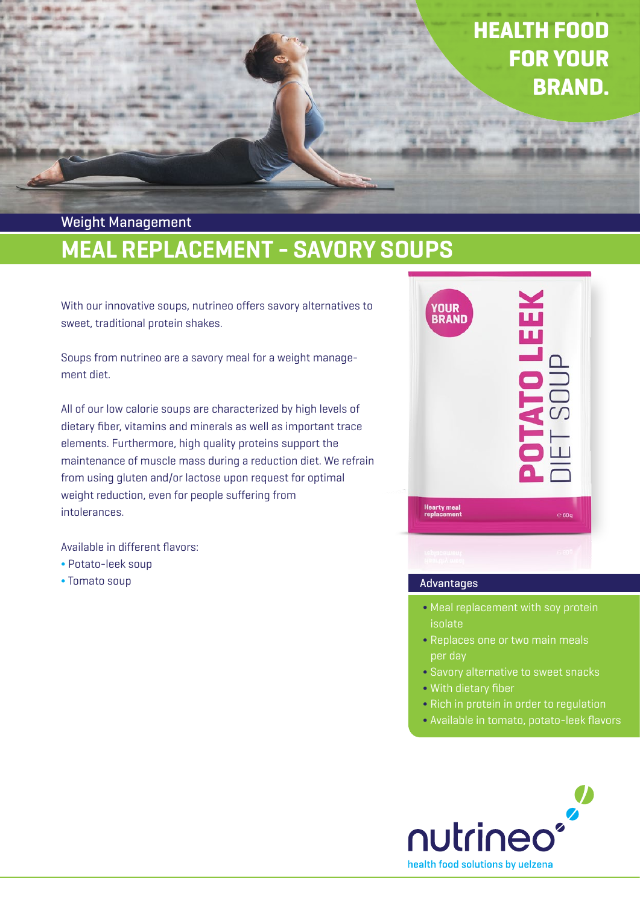# HEALTH FOOD FOR YOUR BRAND.

## MEAL REPLACEMENT - SAVORY SOUPS Weight Management

With our innovative soups, nutrineo offers savory alternatives to sweet, traditional protein shakes.

Soups from nutrineo are a savory meal for a weight management diet.

All of our low calorie soups are characterized by high levels of dietary fiber, vitamins and minerals as well as important trace elements. Furthermore, high quality proteins support the maintenance of muscle mass during a reduction diet. We refrain from using gluten and/or lactose upon request for optimal weight reduction, even for people suffering from intolerances.

Available in different flavors:

- Potato-leek soup
- Tomato soup



#### Advantages

- Meal replacement with soy protein isolate
- Replaces one or two main meals per day
- Savory alternative to sweet snacks
- With dietary fiber
- Rich in protein in order to regulation
- Available in tomato, potato-leek flavors